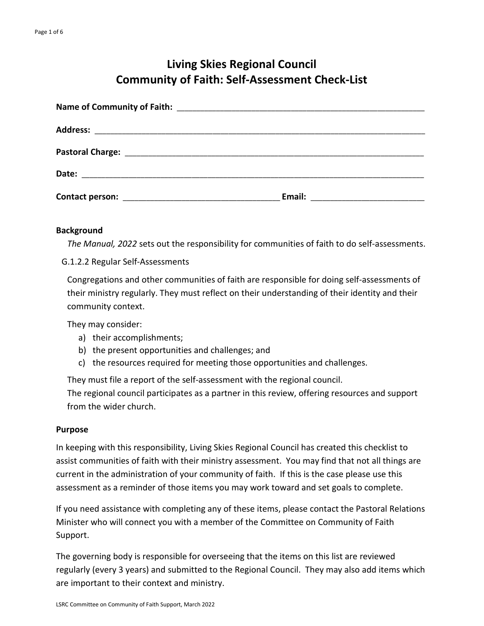# **Living Skies Regional Council Community of Faith: Self-Assessment Check-List**

## **Background**

*The Manual, 2022* sets out the responsibility for communities of faith to do self-assessments.

G.1.2.2 Regular Self-Assessments

Congregations and other communities of faith are responsible for doing self-assessments of their ministry regularly. They must reflect on their understanding of their identity and their community context.

They may consider:

- a) their accomplishments;
- b) the present opportunities and challenges; and
- c) the resources required for meeting those opportunities and challenges.

They must file a report of the self-assessment with the regional council.

The regional council participates as a partner in this review, offering resources and support from the wider church.

## **Purpose**

In keeping with this responsibility, Living Skies Regional Council has created this checklist to assist communities of faith with their ministry assessment. You may find that not all things are current in the administration of your community of faith. If this is the case please use this assessment as a reminder of those items you may work toward and set goals to complete.

If you need assistance with completing any of these items, please contact the Pastoral Relations Minister who will connect you with a member of the Committee on Community of Faith Support.

The governing body is responsible for overseeing that the items on this list are reviewed regularly (every 3 years) and submitted to the Regional Council. They may also add items which are important to their context and ministry.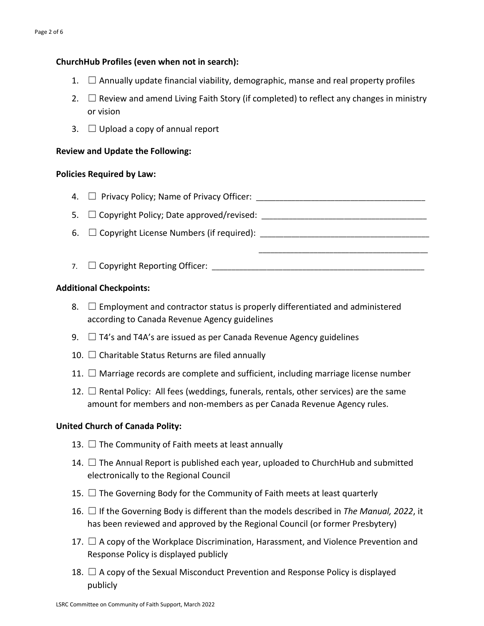# **ChurchHub Profiles (even when not in search):**

- 1.  $\Box$  Annually update financial viability, demographic, manse and real property profiles
- 2.  $\Box$  Review and amend Living Faith Story (if completed) to reflect any changes in ministry or vision
- 3.  $\Box$  Upload a copy of annual report

## **Review and Update the Following:**

## **Policies Required by Law:**

- $\mathsf{4.}$   $\Box$  Privacy Policy; Name of Privacy Officer:
- $5. \Box$  Copyright Policy; Date approved/revised:
- $6. \square$  Copyright License Numbers (if required):  $\square$
- 7. ☐ Copyright Reporting Officer: \_\_\_\_\_\_\_\_\_\_\_\_\_\_\_\_\_\_\_\_\_\_\_\_\_\_\_\_\_\_\_\_\_\_\_\_\_\_\_\_\_\_\_\_\_\_\_\_\_\_\_\_\_\_

 $\overline{\phantom{a}}$  , and the contract of the contract of the contract of the contract of the contract of the contract of the contract of the contract of the contract of the contract of the contract of the contract of the contrac

## **Additional Checkpoints:**

- 8.  $\Box$  Employment and contractor status is properly differentiated and administered according to Canada Revenue Agency guidelines
- 9.  $\Box$  T4's and T4A's are issued as per Canada Revenue Agency guidelines
- 10.  $\Box$  Charitable Status Returns are filed annually
- 11.  $\Box$  Marriage records are complete and sufficient, including marriage license number
- 12.  $\Box$  Rental Policy: All fees (weddings, funerals, rentals, other services) are the same amount for members and non-members as per Canada Revenue Agency rules.

# **United Church of Canada Polity:**

- 13.  $\Box$  The Community of Faith meets at least annually
- 14.  $\Box$  The Annual Report is published each year, uploaded to ChurchHub and submitted electronically to the Regional Council
- 15.  $\Box$  The Governing Body for the Community of Faith meets at least quarterly
- 16. ☐ If the Governing Body is different than the models described in *The Manual, 2022*, it has been reviewed and approved by the Regional Council (or former Presbytery)
- 17.  $\Box$  A copy of the Workplace Discrimination, Harassment, and Violence Prevention and Response Policy is displayed publicly
- 18.  $\Box$  A copy of the Sexual Misconduct Prevention and Response Policy is displayed publicly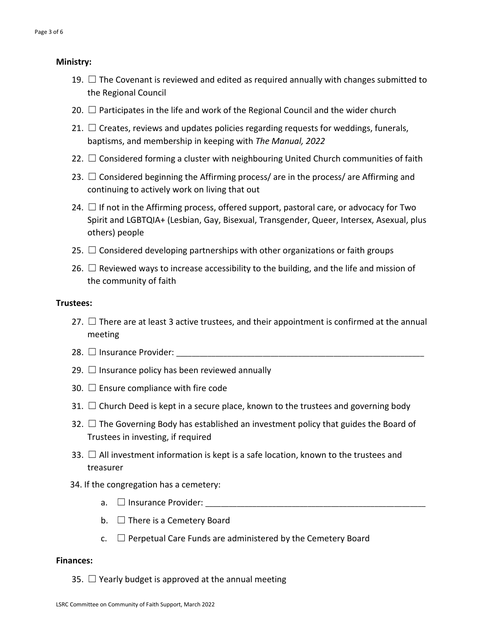#### **Ministry:**

- 19.  $\Box$  The Covenant is reviewed and edited as required annually with changes submitted to the Regional Council
- 20.  $\Box$  Participates in the life and work of the Regional Council and the wider church
- 21.  $\Box$  Creates, reviews and updates policies regarding requests for weddings, funerals, baptisms, and membership in keeping with *The Manual, 2022*
- 22.  $\Box$  Considered forming a cluster with neighbouring United Church communities of faith
- 23.  $\Box$  Considered beginning the Affirming process/ are in the process/ are Affirming and continuing to actively work on living that out
- 24.  $\Box$  If not in the Affirming process, offered support, pastoral care, or advocacy for Two Spirit and LGBTQIA+ (Lesbian, Gay, Bisexual, Transgender, Queer, Intersex, Asexual, plus others) people
- 25.  $\Box$  Considered developing partnerships with other organizations or faith groups
- 26.  $\Box$  Reviewed ways to increase accessibility to the building, and the life and mission of the community of faith

#### **Trustees:**

- 27.  $\Box$  There are at least 3 active trustees, and their appointment is confirmed at the annual meeting
- 28. ☐ Insurance Provider: \_\_\_\_\_\_\_\_\_\_\_\_\_\_\_\_\_\_\_\_\_\_\_\_\_\_\_\_\_\_\_\_\_\_\_\_\_\_\_\_\_\_\_\_\_\_\_\_\_\_\_\_\_\_\_\_\_\_\_\_\_\_\_
- 29.  $\Box$  Insurance policy has been reviewed annually
- 30.  $\Box$  Ensure compliance with fire code
- 31.  $\Box$  Church Deed is kept in a secure place, known to the trustees and governing body
- 32.  $\Box$  The Governing Body has established an investment policy that guides the Board of Trustees in investing, if required
- 33.  $\Box$  All investment information is kept is a safe location, known to the trustees and treasurer
- 34. If the congregation has a cemetery:
	- a. ☐ Insurance Provider: \_\_\_\_\_\_\_\_\_\_\_\_\_\_\_\_\_\_\_\_\_\_\_\_\_\_\_\_\_\_\_\_\_\_\_\_\_\_\_\_\_\_\_\_\_\_\_\_\_\_\_\_\_\_\_\_
	- $b. \Box$  There is a Cemetery Board
	- $c.$   $\Box$  Perpetual Care Funds are administered by the Cemetery Board

#### **Finances:**

35.  $\Box$  Yearly budget is approved at the annual meeting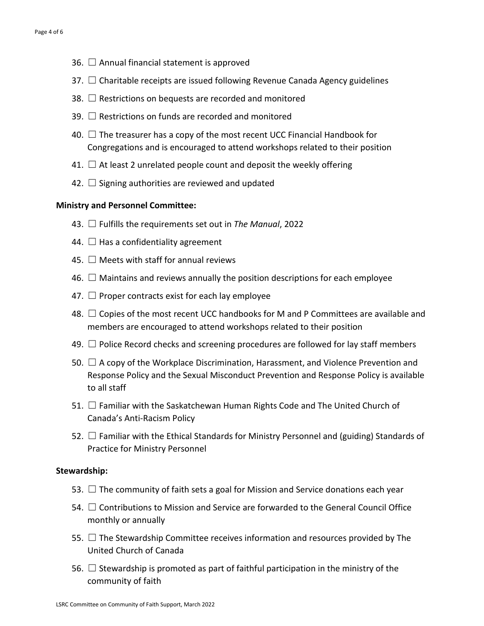- 36.  $\Box$  Annual financial statement is approved
- $37.$   $\Box$  Charitable receipts are issued following Revenue Canada Agency guidelines
- 38.  $\Box$  Restrictions on bequests are recorded and monitored
- 39. □ Restrictions on funds are recorded and monitored
- 40.  $\Box$  The treasurer has a copy of the most recent UCC Financial Handbook for Congregations and is encouraged to attend workshops related to their position
- 41.  $\Box$  At least 2 unrelated people count and deposit the weekly offering
- 42.  $\Box$  Signing authorities are reviewed and updated

## **Ministry and Personnel Committee:**

- 43. ☐ Fulfills the requirements set out in *The Manual*, 2022
- 44.  $\Box$  Has a confidentiality agreement
- 45.  $\Box$  Meets with staff for annual reviews
- 46.  $\Box$  Maintains and reviews annually the position descriptions for each employee
- 47.  $\Box$  Proper contracts exist for each lay employee
- 48.  $\Box$  Copies of the most recent UCC handbooks for M and P Committees are available and members are encouraged to attend workshops related to their position
- 49.  $\Box$  Police Record checks and screening procedures are followed for lay staff members
- 50.  $\Box$  A copy of the Workplace Discrimination, Harassment, and Violence Prevention and Response Policy and the Sexual Misconduct Prevention and Response Policy is available to all staff
- 51. □ Familiar with the Saskatchewan Human Rights Code and The United Church of Canada's Anti-Racism Policy
- 52.  $\Box$  Familiar with the Ethical Standards for Ministry Personnel and (guiding) Standards of Practice for Ministry Personnel

## **Stewardship:**

- 53.  $\Box$  The community of faith sets a goal for Mission and Service donations each year
- 54.  $\Box$  Contributions to Mission and Service are forwarded to the General Council Office monthly or annually
- 55.  $\Box$  The Stewardship Committee receives information and resources provided by The United Church of Canada
- 56.  $\Box$  Stewardship is promoted as part of faithful participation in the ministry of the community of faith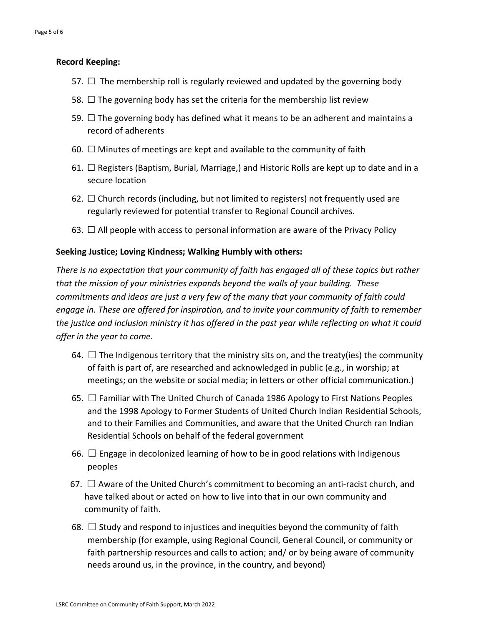## **Record Keeping:**

- 57.  $\Box$  The membership roll is regularly reviewed and updated by the governing body
- 58.  $\Box$  The governing body has set the criteria for the membership list review
- 59.  $\Box$  The governing body has defined what it means to be an adherent and maintains a record of adherents
- 60.  $\Box$  Minutes of meetings are kept and available to the community of faith
- 61.  $\Box$  Registers (Baptism, Burial, Marriage,) and Historic Rolls are kept up to date and in a secure location
- 62.  $\Box$  Church records (including, but not limited to registers) not frequently used are regularly reviewed for potential transfer to Regional Council archives.
- 63.  $\Box$  All people with access to personal information are aware of the Privacy Policy

## **Seeking Justice; Loving Kindness; Walking Humbly with others:**

*There is no expectation that your community of faith has engaged all of these topics but rather that the mission of your ministries expands beyond the walls of your building. These commitments and ideas are just a very few of the many that your community of faith could engage in. These are offered for inspiration, and to invite your community of faith to remember the justice and inclusion ministry it has offered in the past year while reflecting on what it could offer in the year to come.*

- 64.  $\Box$  The Indigenous territory that the ministry sits on, and the treaty(ies) the community of faith is part of, are researched and acknowledged in public (e.g., in worship; at meetings; on the website or social media; in letters or other official communication.)
- 65.  $\Box$  Familiar with The United Church of Canada 1986 Apology to First Nations Peoples and the 1998 Apology to Former Students of United Church Indian Residential Schools, and to their Families and Communities, and aware that the United Church ran Indian Residential Schools on behalf of the federal government
- 66.  $\Box$  Engage in decolonized learning of how to be in good relations with Indigenous peoples
- 67.  $\Box$  Aware of the United Church's commitment to becoming an anti-racist church, and have talked about or acted on how to live into that in our own community and community of faith.
- 68.  $\Box$  Study and respond to injustices and inequities beyond the community of faith membership (for example, using Regional Council, General Council, or community or faith partnership resources and calls to action; and/ or by being aware of community needs around us, in the province, in the country, and beyond)